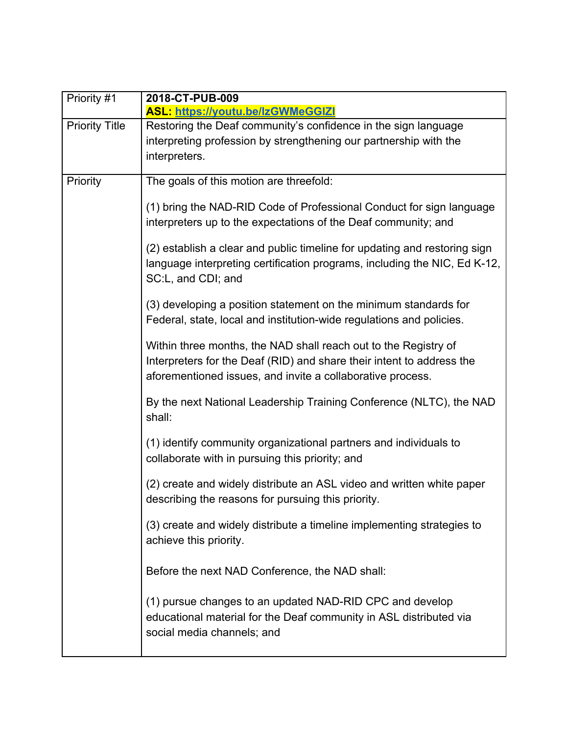| Priority #1           | 2018-CT-PUB-009                                                                                                                                                                                        |
|-----------------------|--------------------------------------------------------------------------------------------------------------------------------------------------------------------------------------------------------|
|                       | <b>ASL: https://youtu.be/lzGWMeGGIZI</b>                                                                                                                                                               |
| <b>Priority Title</b> | Restoring the Deaf community's confidence in the sign language<br>interpreting profession by strengthening our partnership with the<br>interpreters.                                                   |
| Priority              | The goals of this motion are threefold:                                                                                                                                                                |
|                       | (1) bring the NAD-RID Code of Professional Conduct for sign language<br>interpreters up to the expectations of the Deaf community; and                                                                 |
|                       | (2) establish a clear and public timeline for updating and restoring sign<br>language interpreting certification programs, including the NIC, Ed K-12,<br>SC:L, and CDI; and                           |
|                       | (3) developing a position statement on the minimum standards for<br>Federal, state, local and institution-wide regulations and policies.                                                               |
|                       | Within three months, the NAD shall reach out to the Registry of<br>Interpreters for the Deaf (RID) and share their intent to address the<br>aforementioned issues, and invite a collaborative process. |
|                       | By the next National Leadership Training Conference (NLTC), the NAD<br>shall:                                                                                                                          |
|                       | (1) identify community organizational partners and individuals to<br>collaborate with in pursuing this priority; and                                                                                   |
|                       | (2) create and widely distribute an ASL video and written white paper<br>describing the reasons for pursuing this priority.                                                                            |
|                       | (3) create and widely distribute a timeline implementing strategies to<br>achieve this priority.                                                                                                       |
|                       | Before the next NAD Conference, the NAD shall:                                                                                                                                                         |
|                       | (1) pursue changes to an updated NAD-RID CPC and develop<br>educational material for the Deaf community in ASL distributed via<br>social media channels; and                                           |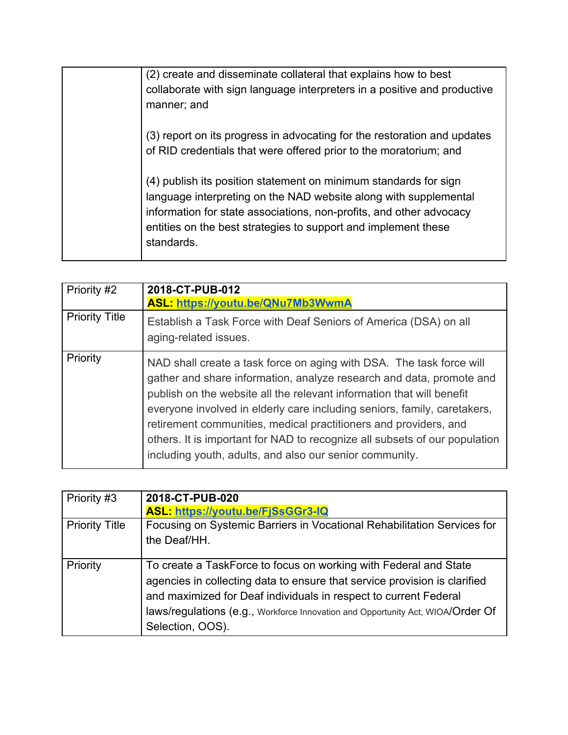(2) create and disseminate collateral that explains how to best collaborate with sign language interpreters in a positive and productive manner; and

(3) report on its progress in advocating for the restoration and updates of RID credentials that were offered prior to the moratorium; and

(4) publish its position statement on minimum standards for sign language interpreting on the NAD website along with supplemental information for state associations, non-profits, and other advocacy entities on the best strategies to support and implement these standards.

| Priority #2           | 2018-CT-PUB-012<br><b>ASL: https://youtu.be/QNu7Mb3WwmA</b>                                                                                                                                                                                                                                                                                                                                                                                                                                                    |
|-----------------------|----------------------------------------------------------------------------------------------------------------------------------------------------------------------------------------------------------------------------------------------------------------------------------------------------------------------------------------------------------------------------------------------------------------------------------------------------------------------------------------------------------------|
| <b>Priority Title</b> | Establish a Task Force with Deaf Seniors of America (DSA) on all<br>aging-related issues.                                                                                                                                                                                                                                                                                                                                                                                                                      |
| Priority              | NAD shall create a task force on aging with DSA. The task force will<br>gather and share information, analyze research and data, promote and<br>publish on the website all the relevant information that will benefit<br>everyone involved in elderly care including seniors, family, caretakers,<br>retirement communities, medical practitioners and providers, and<br>others. It is important for NAD to recognize all subsets of our population<br>including youth, adults, and also our senior community. |

| Priority #3           | 2018-CT-PUB-020                                                                 |
|-----------------------|---------------------------------------------------------------------------------|
|                       | <b>ASL: https://youtu.be/FiSsGGr3-IQ</b>                                        |
| <b>Priority Title</b> | Focusing on Systemic Barriers in Vocational Rehabilitation Services for         |
|                       | the Deaf/HH.                                                                    |
| Priority              | To create a TaskForce to focus on working with Federal and State                |
|                       | agencies in collecting data to ensure that service provision is clarified       |
|                       | and maximized for Deaf individuals in respect to current Federal                |
|                       | laws/regulations (e.g., Workforce Innovation and Opportunity Act, WIOA/Order Of |
|                       | Selection, OOS).                                                                |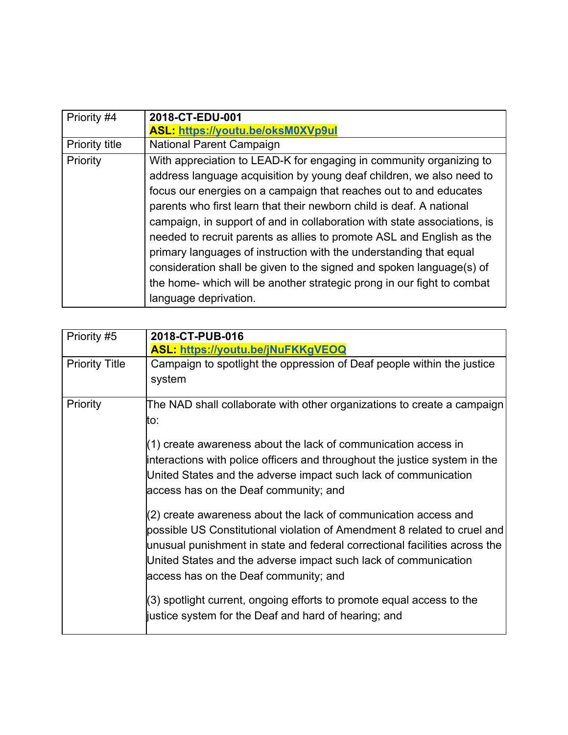| Priority #4           | 2018-CT-EDU-001                                                          |
|-----------------------|--------------------------------------------------------------------------|
|                       | <b>ASL: https://youtu.be/oksM0XVp9ul</b>                                 |
| <b>Priority title</b> | <b>National Parent Campaign</b>                                          |
| Priority              | With appreciation to LEAD-K for engaging in community organizing to      |
|                       | address language acquisition by young deaf children, we also need to     |
|                       | focus our energies on a campaign that reaches out to and educates        |
|                       | parents who first learn that their newborn child is deaf. A national     |
|                       | campaign, in support of and in collaboration with state associations, is |
|                       | needed to recruit parents as allies to promote ASL and English as the    |
|                       | primary languages of instruction with the understanding that equal       |
|                       | consideration shall be given to the signed and spoken language(s) of     |
|                       | the home- which will be another strategic prong in our fight to combat   |
|                       | language deprivation.                                                    |

| Priority #5           | 2018-CT-PUB-016                                                                                                                                                                                                                                                                                                                       |
|-----------------------|---------------------------------------------------------------------------------------------------------------------------------------------------------------------------------------------------------------------------------------------------------------------------------------------------------------------------------------|
|                       | <b>ASL: https://youtu.be/jNuFKKgVEOQ</b>                                                                                                                                                                                                                                                                                              |
| <b>Priority Title</b> | Campaign to spotlight the oppression of Deaf people within the justice                                                                                                                                                                                                                                                                |
|                       | system                                                                                                                                                                                                                                                                                                                                |
| Priority              | The NAD shall collaborate with other organizations to create a campaign<br>to:                                                                                                                                                                                                                                                        |
|                       | $(1)$ create awareness about the lack of communication access in<br>interactions with police officers and throughout the justice system in the<br>United States and the adverse impact such lack of communication<br>access has on the Deaf community; and                                                                            |
|                       | (2) create awareness about the lack of communication access and<br>possible US Constitutional violation of Amendment 8 related to cruel and<br>unusual punishment in state and federal correctional facilities across the<br>United States and the adverse impact such lack of communication<br>access has on the Deaf community; and |
|                       | (3) spotlight current, ongoing efforts to promote equal access to the<br>justice system for the Deaf and hard of hearing; and                                                                                                                                                                                                         |